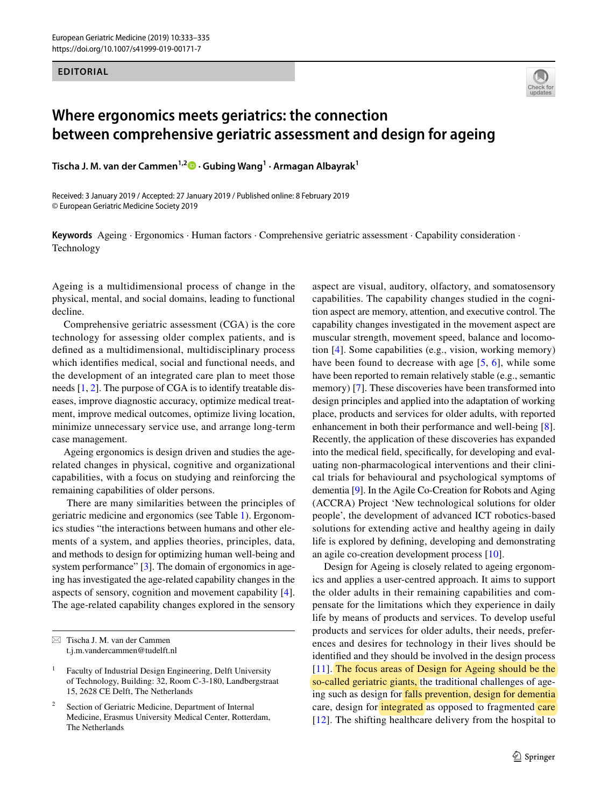## **EDITORIAL**



## **Where ergonomics meets geriatrics: the connection between comprehensive geriatric assessment and design for ageing**

**Tischa J. M. van der Cammen1,2 · Gubing Wang1 · Armagan Albayrak1**

Received: 3 January 2019 / Accepted: 27 January 2019 / Published online: 8 February 2019 © European Geriatric Medicine Society 2019

**Keywords** Ageing · Ergonomics · Human factors · Comprehensive geriatric assessment · Capability consideration · Technology

Ageing is a multidimensional process of change in the physical, mental, and social domains, leading to functional decline.

Comprehensive geriatric assessment (CGA) is the core technology for assessing older complex patients, and is defned as a multidimensional, multidisciplinary process which identifes medical, social and functional needs, and the development of an integrated care plan to meet those needs [\[1,](#page-1-0) [2\]](#page-1-1). The purpose of CGA is to identify treatable diseases, improve diagnostic accuracy, optimize medical treatment, improve medical outcomes, optimize living location, minimize unnecessary service use, and arrange long-term case management.

Ageing ergonomics is design driven and studies the agerelated changes in physical, cognitive and organizational capabilities, with a focus on studying and reinforcing the remaining capabilities of older persons.

 There are many similarities between the principles of geriatric medicine and ergonomics (see Table [1](#page-1-2)). Ergonomics studies "the interactions between humans and other elements of a system, and applies theories, principles, data, and methods to design for optimizing human well-being and system performance" [[3\]](#page-1-3). The domain of ergonomics in ageing has investigated the age-related capability changes in the aspects of sensory, cognition and movement capability [\[4](#page-1-4)]. The age-related capability changes explored in the sensory aspect are visual, auditory, olfactory, and somatosensory capabilities. The capability changes studied in the cognition aspect are memory, attention, and executive control. The capability changes investigated in the movement aspect are muscular strength, movement speed, balance and locomotion [\[4](#page-1-4)]. Some capabilities (e.g., vision, working memory) have been found to decrease with age [[5](#page-1-5), [6](#page-1-6)], while some have been reported to remain relatively stable (e.g., semantic memory) [[7\]](#page-1-7). These discoveries have been transformed into design principles and applied into the adaptation of working place, products and services for older adults, with reported enhancement in both their performance and well-being [\[8](#page-1-8)]. Recently, the application of these discoveries has expanded into the medical feld, specifcally, for developing and evaluating non-pharmacological interventions and their clinical trials for behavioural and psychological symptoms of dementia [9]. In the Agile Co-Creation for Robots and Aging (ACCRA) Project 'New technological solutions for older people', the development of advanced ICT robotics-based solutions for extending active and healthy ageing in daily life is explored by defning, developing and demonstrating an agile co-creation development process [\[10\]](#page-1-9).

Design for Ageing is closely related to ageing ergonomics and applies a user-centred approach. It aims to support the older adults in their remaining capabilities and compensate for the limitations which they experience in daily life by means of products and services. To develop useful products and services for older adults, their needs, preferences and desires for technology in their lives should be identifed and they should be involved in the design process [[11\]](#page-1-10). The focus areas of Design for Ageing should be the so-called geriatric giants, the traditional challenges of ageing such as design for falls prevention, design for dementia care, design for *integrated* as opposed to fragmented care [[12\]](#page-2-0). The shifting healthcare delivery from the hospital to

 $\boxtimes$  Tischa J. M. van der Cammen t.j.m.vandercammen@tudelft.nl

<sup>1</sup> Faculty of Industrial Design Engineering, Delft University of Technology, Building: 32, Room C-3-180, Landbergstraat 15, 2628 CE Delft, The Netherlands

Section of Geriatric Medicine, Department of Internal Medicine, Erasmus University Medical Center, Rotterdam, The Netherlands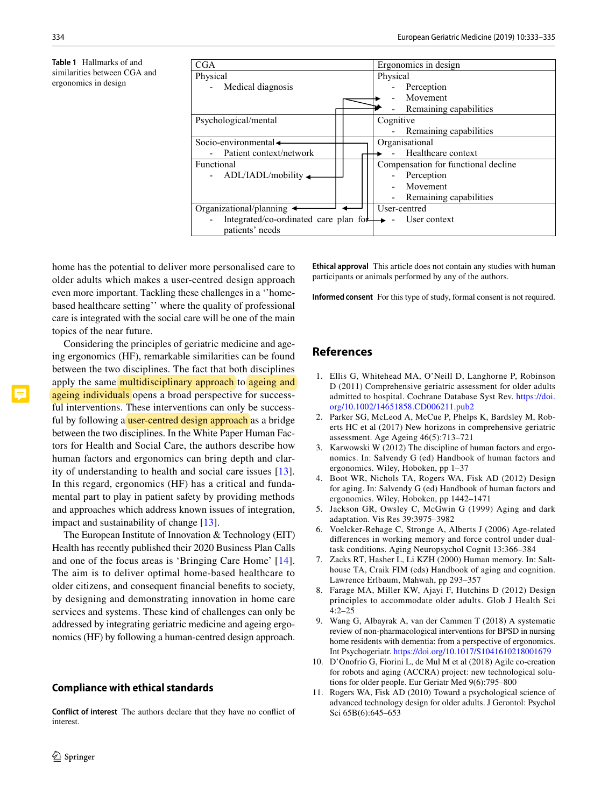<span id="page-1-2"></span>**Table 1** Hallmarks of and similarities between CGA and ergonomics in design



home has the potential to deliver more personalised care to older adults which makes a user-centred design approach even more important. Tackling these challenges in a ''homebased healthcare setting'' where the quality of professional care is integrated with the social care will be one of the main topics of the near future.

Considering the principles of geriatric medicine and ageing ergonomics (HF), remarkable similarities can be found between the two disciplines. The fact that both disciplines apply the same multidisciplinary approach to ageing and ageing individuals opens a broad perspective for successful interventions. These interventions can only be successful by following a user-centred design approach as a bridge between the two disciplines. In the White Paper Human Factors for Health and Social Care, the authors describe how human factors and ergonomics can bring depth and clarity of understanding to health and social care issues [[13](#page-2-1)]. In this regard, ergonomics (HF) has a critical and fundamental part to play in patient safety by providing methods and approaches which address known issues of integration, impact and sustainability of change [\[13\]](#page-2-1).

The European Institute of Innovation & Technology (EIT) Health has recently published their 2020 Business Plan Calls and one of the focus areas is 'Bringing Care Home' [[14](#page-2-2)]. The aim is to deliver optimal home-based healthcare to older citizens, and consequent fnancial benefts to society, by designing and demonstrating innovation in home care services and systems. These kind of challenges can only be addressed by integrating geriatric medicine and ageing ergonomics (HF) by following a human-centred design approach.

## **Compliance with ethical standards**

**Conflict of interest** The authors declare that they have no confict of interest.

**Ethical approval** This article does not contain any studies with human participants or animals performed by any of the authors.

**Informed consent** For this type of study, formal consent is not required.

## **References**

- <span id="page-1-0"></span>1. Ellis G, Whitehead MA, O'Neill D, Langhorne P, Robinson D (2011) Comprehensive geriatric assessment for older adults admitted to hospital. Cochrane Database Syst Rev. [https://doi.](https://doi.org/10.1002/14651858.CD006211.pub2) [org/10.1002/14651858.CD006211.pub2](https://doi.org/10.1002/14651858.CD006211.pub2)
- <span id="page-1-1"></span>2. Parker SG, McLeod A, McCue P, Phelps K, Bardsley M, Roberts HC et al (2017) New horizons in comprehensive geriatric assessment. Age Ageing 46(5):713–721
- <span id="page-1-3"></span>3. Karwowski W (2012) The discipline of human factors and ergonomics. In: Salvendy G (ed) Handbook of human factors and ergonomics. Wiley, Hoboken, pp 1–37
- <span id="page-1-4"></span>4. Boot WR, Nichols TA, Rogers WA, Fisk AD (2012) Design for aging. In: Salvendy G (ed) Handbook of human factors and ergonomics. Wiley, Hoboken, pp 1442–1471
- <span id="page-1-5"></span>5. Jackson GR, Owsley C, McGwin G (1999) Aging and dark adaptation. Vis Res 39:3975–3982
- <span id="page-1-6"></span>6. Voelcker-Rehage C, Stronge A, Alberts J (2006) Age-related diferences in working memory and force control under dualtask conditions. Aging Neuropsychol Cognit 13:366–384
- <span id="page-1-7"></span>7. Zacks RT, Hasher L, Li KZH (2000) Human memory. In: Salthouse TA, Craik FIM (eds) Handbook of aging and cognition. Lawrence Erlbaum, Mahwah, pp 293–357
- <span id="page-1-8"></span>8. Farage MA, Miller KW, Ajayi F, Hutchins D (2012) Design principles to accommodate older adults. Glob J Health Sci 4:2–25
- 9. Wang G, Albayrak A, van der Cammen T (2018) A systematic review of non-pharmacological interventions for BPSD in nursing home residents with dementia: from a perspective of ergonomics. Int Psychogeriatr. <https://doi.org/10.1017/S1041610218001679>
- <span id="page-1-9"></span>10. D'Onofrio G, Fiorini L, de Mul M et al (2018) Agile co-creation for robots and aging (ACCRA) project: new technological solutions for older people. Eur Geriatr Med 9(6):795–800
- <span id="page-1-10"></span>11. Rogers WA, Fisk AD (2010) Toward a psychological science of advanced technology design for older adults. J Gerontol: Psychol Sci 65B(6):645–653